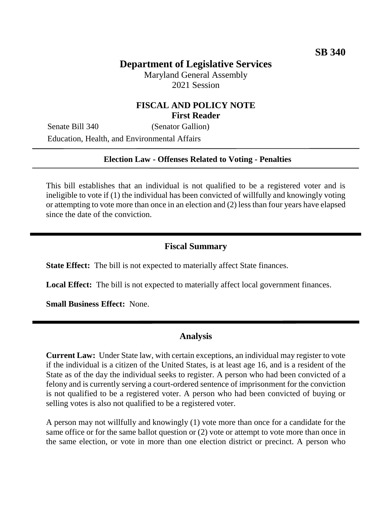# **Department of Legislative Services**

Maryland General Assembly 2021 Session

## **FISCAL AND POLICY NOTE First Reader**

Senate Bill 340 (Senator Gallion) Education, Health, and Environmental Affairs

#### **Election Law - Offenses Related to Voting - Penalties**

This bill establishes that an individual is not qualified to be a registered voter and is ineligible to vote if (1) the individual has been convicted of willfully and knowingly voting or attempting to vote more than once in an election and (2) less than four years have elapsed since the date of the conviction.

#### **Fiscal Summary**

**State Effect:** The bill is not expected to materially affect State finances.

**Local Effect:** The bill is not expected to materially affect local government finances.

**Small Business Effect:** None.

### **Analysis**

**Current Law:** Under State law, with certain exceptions, an individual may register to vote if the individual is a citizen of the United States, is at least age 16, and is a resident of the State as of the day the individual seeks to register. A person who had been convicted of a felony and is currently serving a court-ordered sentence of imprisonment for the conviction is not qualified to be a registered voter. A person who had been convicted of buying or selling votes is also not qualified to be a registered voter.

A person may not willfully and knowingly (1) vote more than once for a candidate for the same office or for the same ballot question or (2) vote or attempt to vote more than once in the same election, or vote in more than one election district or precinct. A person who